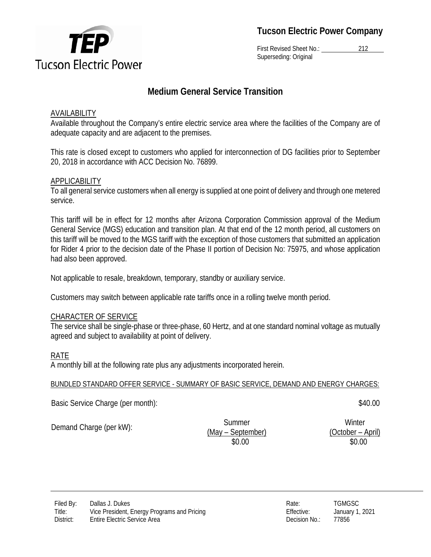

First Revised Sheet No.: 212 Superseding: Original

# **Medium General Service Transition**

# AVAILABILITY

Available throughout the Company's entire electric service area where the facilities of the Company are of adequate capacity and are adjacent to the premises.

This rate is closed except to customers who applied for interconnection of DG facilities prior to September 20, 2018 in accordance with ACC Decision No. 76899.

# **APPLICABILITY**

To all general service customers when all energy is supplied at one point of delivery and through one metered service.

This tariff will be in effect for 12 months after Arizona Corporation Commission approval of the Medium General Service (MGS) education and transition plan. At that end of the 12 month period, all customers on this tariff will be moved to the MGS tariff with the exception of those customers that submitted an application for Rider 4 prior to the decision date of the Phase II portion of Decision No: 75975, and whose application had also been approved.

Not applicable to resale, breakdown, temporary, standby or auxiliary service.

Customers may switch between applicable rate tariffs once in a rolling twelve month period.

#### CHARACTER OF SERVICE

The service shall be single-phase or three-phase, 60 Hertz, and at one standard nominal voltage as mutually agreed and subject to availability at point of delivery.

# RATE

A monthly bill at the following rate plus any adjustments incorporated herein.

#### BUNDLED STANDARD OFFER SERVICE - SUMMARY OF BASIC SERVICE, DEMAND AND ENERGY CHARGES:

Basic Service Charge (per month):  $$40.00$ 

Demand Charge (per kW): Summer

(May – September)

**Winter** (October – April) \$0.00 \$0.00



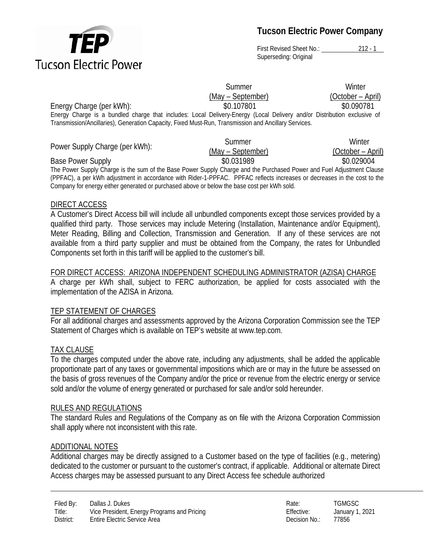

# **Tucson Electric Power Company**

First Revised Sheet No.: 212 - 1 Superseding: Original

**Summer** 

(May – September)

**Winter** (October – April)

Energy Charge (per kWh):  $$0.107801$   $$0.090781$ 

Energy Charge is a bundled charge that includes: Local Delivery-Energy (Local Delivery and/or Distribution exclusive of Transmission/Ancillaries), Generation Capacity, Fixed Must-Run, Transmission and Ancillary Services.

| Power Supply Charge (per kWh):                                                                                        | Summer            | Winter            |
|-----------------------------------------------------------------------------------------------------------------------|-------------------|-------------------|
|                                                                                                                       | (May – September) | (October – April) |
| <b>Base Power Supply</b>                                                                                              | \$0.031989        | \$0.029004        |
| The Power Supply Charge is the sum of the Base Power Supply Charge and the Purchased Power and Fuel Adjustment Clause |                   |                   |

(PPFAC), a per kWh adjustment in accordance with Rider-1-PPFAC. PPFAC reflects increases or decreases in the cost to the Company for energy either generated or purchased above or below the base cost per kWh sold.

# DIRECT ACCESS

A Customer's Direct Access bill will include all unbundled components except those services provided by a qualified third party. Those services may include Metering (Installation, Maintenance and/or Equipment), Meter Reading, Billing and Collection, Transmission and Generation. If any of these services are not available from a third party supplier and must be obtained from the Company, the rates for Unbundled Components set forth in this tariff will be applied to the customer's bill.

#### FOR DIRECT ACCESS: ARIZONA INDEPENDENT SCHEDULING ADMINISTRATOR (AZISA) CHARGE

A charge per kWh shall, subject to FERC authorization, be applied for costs associated with the implementation of the AZISA in Arizona.

# TEP STATEMENT OF CHARGES

For all additional charges and assessments approved by the Arizona Corporation Commission see the TEP Statement of Charges which is available on TEP's website at www.tep.com.

# TAX CLAUSE

To the charges computed under the above rate, including any adjustments, shall be added the applicable proportionate part of any taxes or governmental impositions which are or may in the future be assessed on the basis of gross revenues of the Company and/or the price or revenue from the electric energy or service sold and/or the volume of energy generated or purchased for sale and/or sold hereunder.

#### RULES AND REGULATIONS

The standard Rules and Regulations of the Company as on file with the Arizona Corporation Commission shall apply where not inconsistent with this rate.

# ADDITIONAL NOTES

Additional charges may be directly assigned to a Customer based on the type of facilities (e.g., metering) dedicated to the customer or pursuant to the customer's contract, if applicable. Additional or alternate Direct Access charges may be assessed pursuant to any Direct Access fee schedule authorized